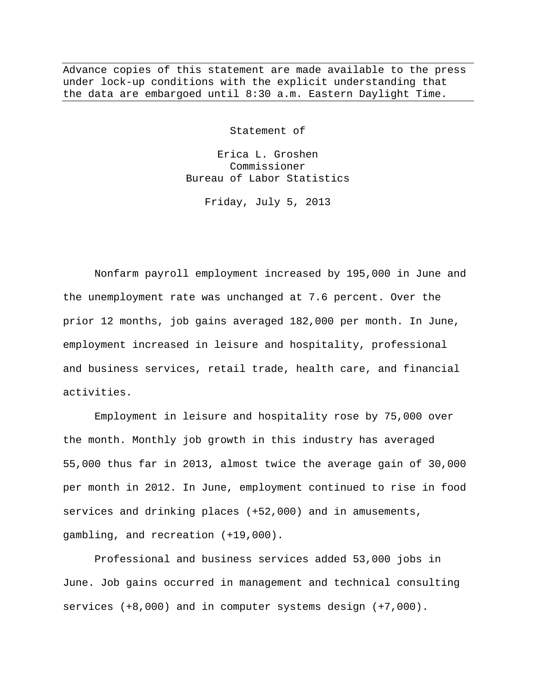Advance copies of this statement are made available to the press under lock-up conditions with the explicit understanding that the data are embargoed until 8:30 a.m. Eastern Daylight Time.

Statement of

Erica L. Groshen Commissioner Bureau of Labor Statistics

Friday, July 5, 2013

Nonfarm payroll employment increased by 195,000 in June and the unemployment rate was unchanged at 7.6 percent. Over the prior 12 months, job gains averaged 182,000 per month. In June, employment increased in leisure and hospitality, professional and business services, retail trade, health care, and financial activities.

Employment in leisure and hospitality rose by 75,000 over the month. Monthly job growth in this industry has averaged 55,000 thus far in 2013, almost twice the average gain of 30,000 per month in 2012. In June, employment continued to rise in food services and drinking places (+52,000) and in amusements, gambling, and recreation (+19,000).

Professional and business services added 53,000 jobs in June. Job gains occurred in management and technical consulting services (+8,000) and in computer systems design (+7,000).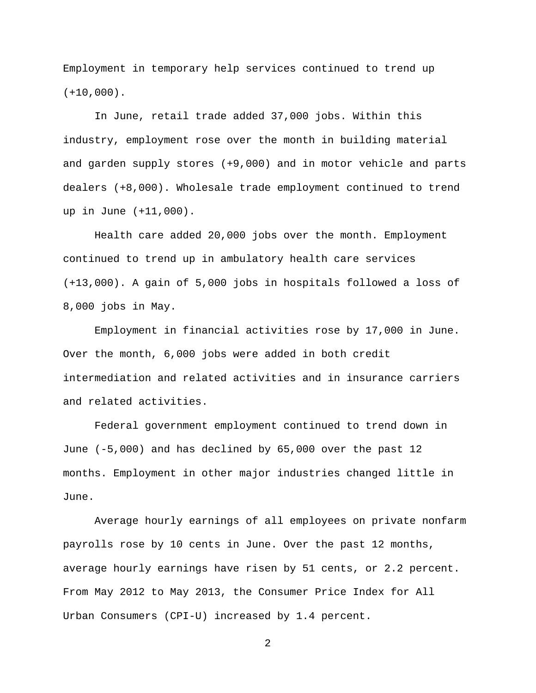Employment in temporary help services continued to trend up  $(+10,000)$ .

In June, retail trade added 37,000 jobs. Within this industry, employment rose over the month in building material and garden supply stores (+9,000) and in motor vehicle and parts dealers (+8,000). Wholesale trade employment continued to trend up in June (+11,000).

Health care added 20,000 jobs over the month. Employment continued to trend up in ambulatory health care services (+13,000). A gain of 5,000 jobs in hospitals followed a loss of 8,000 jobs in May.

Employment in financial activities rose by 17,000 in June. Over the month, 6,000 jobs were added in both credit intermediation and related activities and in insurance carriers and related activities.

Federal government employment continued to trend down in June (-5,000) and has declined by 65,000 over the past 12 months. Employment in other major industries changed little in June.

Average hourly earnings of all employees on private nonfarm payrolls rose by 10 cents in June. Over the past 12 months, average hourly earnings have risen by 51 cents, or 2.2 percent. From May 2012 to May 2013, the Consumer Price Index for All Urban Consumers (CPI-U) increased by 1.4 percent.

2